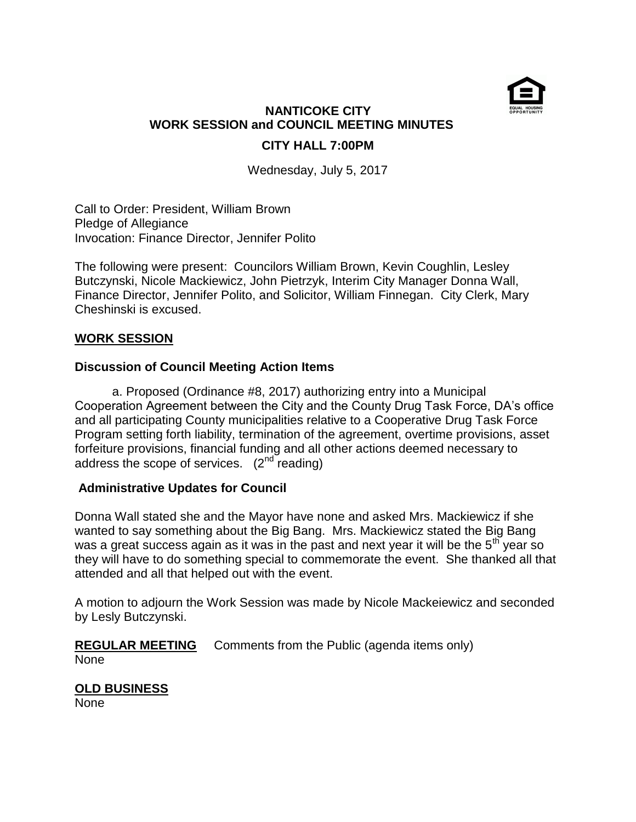

# **NANTICOKE CITY WORK SESSION and COUNCIL MEETING MINUTES CITY HALL 7:00PM**

Wednesday, July 5, 2017

Call to Order: President, William Brown Pledge of Allegiance Invocation: Finance Director, Jennifer Polito

The following were present: Councilors William Brown, Kevin Coughlin, Lesley Butczynski, Nicole Mackiewicz, John Pietrzyk, Interim City Manager Donna Wall, Finance Director, Jennifer Polito, and Solicitor, William Finnegan. City Clerk, Mary Cheshinski is excused.

## **WORK SESSION**

## **Discussion of Council Meeting Action Items**

 a. Proposed (Ordinance #8, 2017) authorizing entry into a Municipal Cooperation Agreement between the City and the County Drug Task Force, DA's office and all participating County municipalities relative to a Cooperative Drug Task Force Program setting forth liability, termination of the agreement, overtime provisions, asset forfeiture provisions, financial funding and all other actions deemed necessary to address the scope of services.  $(2^{nd}$  reading)

# **Administrative Updates for Council**

Donna Wall stated she and the Mayor have none and asked Mrs. Mackiewicz if she wanted to say something about the Big Bang. Mrs. Mackiewicz stated the Big Bang was a great success again as it was in the past and next year it will be the  $5<sup>th</sup>$  year so they will have to do something special to commemorate the event. She thanked all that attended and all that helped out with the event.

A motion to adjourn the Work Session was made by Nicole Mackeiewicz and seconded by Lesly Butczynski.

# **REGULAR MEETING** Comments from the Public (agenda items only)

None

# **OLD BUSINESS**

None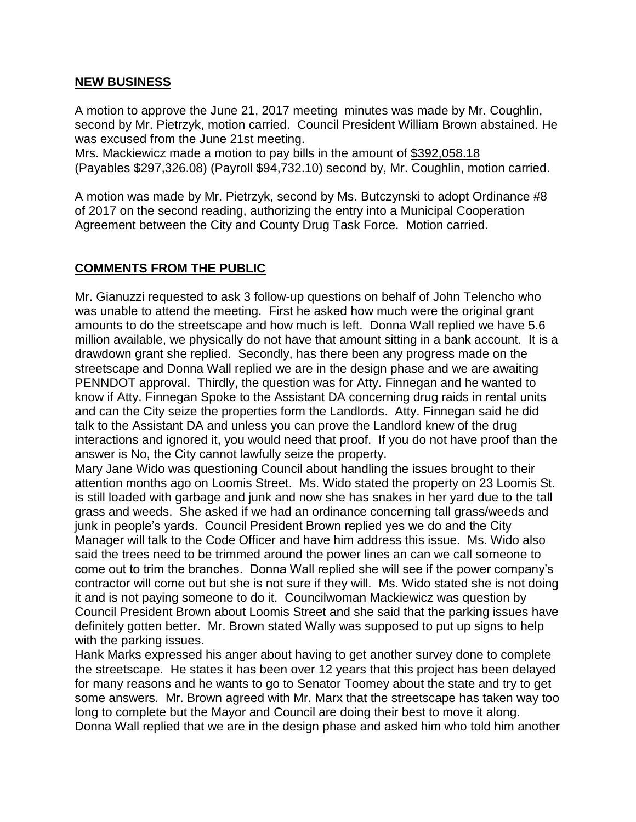#### **NEW BUSINESS**

A motion to approve the June 21, 2017 meeting minutes was made by Mr. Coughlin, second by Mr. Pietrzyk, motion carried. Council President William Brown abstained. He was excused from the June 21st meeting.

Mrs. Mackiewicz made a motion to pay bills in the amount of \$392,058.18 (Payables \$297,326.08) (Payroll \$94,732.10) second by, Mr. Coughlin, motion carried.

A motion was made by Mr. Pietrzyk, second by Ms. Butczynski to adopt Ordinance #8 of 2017 on the second reading, authorizing the entry into a Municipal Cooperation Agreement between the City and County Drug Task Force. Motion carried.

## **COMMENTS FROM THE PUBLIC**

Mr. Gianuzzi requested to ask 3 follow-up questions on behalf of John Telencho who was unable to attend the meeting. First he asked how much were the original grant amounts to do the streetscape and how much is left. Donna Wall replied we have 5.6 million available, we physically do not have that amount sitting in a bank account. It is a drawdown grant she replied. Secondly, has there been any progress made on the streetscape and Donna Wall replied we are in the design phase and we are awaiting PENNDOT approval. Thirdly, the question was for Atty. Finnegan and he wanted to know if Atty. Finnegan Spoke to the Assistant DA concerning drug raids in rental units and can the City seize the properties form the Landlords. Atty. Finnegan said he did talk to the Assistant DA and unless you can prove the Landlord knew of the drug interactions and ignored it, you would need that proof. If you do not have proof than the answer is No, the City cannot lawfully seize the property.

Mary Jane Wido was questioning Council about handling the issues brought to their attention months ago on Loomis Street. Ms. Wido stated the property on 23 Loomis St. is still loaded with garbage and junk and now she has snakes in her yard due to the tall grass and weeds. She asked if we had an ordinance concerning tall grass/weeds and junk in people's yards. Council President Brown replied yes we do and the City Manager will talk to the Code Officer and have him address this issue. Ms. Wido also said the trees need to be trimmed around the power lines an can we call someone to come out to trim the branches. Donna Wall replied she will see if the power company's contractor will come out but she is not sure if they will. Ms. Wido stated she is not doing it and is not paying someone to do it. Councilwoman Mackiewicz was question by Council President Brown about Loomis Street and she said that the parking issues have definitely gotten better. Mr. Brown stated Wally was supposed to put up signs to help with the parking issues.

Hank Marks expressed his anger about having to get another survey done to complete the streetscape. He states it has been over 12 years that this project has been delayed for many reasons and he wants to go to Senator Toomey about the state and try to get some answers. Mr. Brown agreed with Mr. Marx that the streetscape has taken way too long to complete but the Mayor and Council are doing their best to move it along. Donna Wall replied that we are in the design phase and asked him who told him another